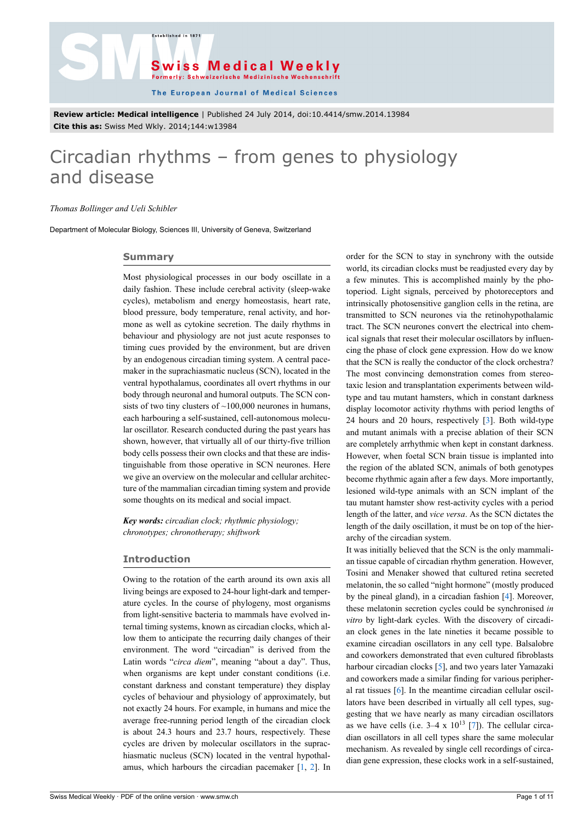# .<br>Established in 187



The European Journal of Medical Sciences

**Review article: Medical intelligence** | Published 24 July 2014, doi:10.4414/smw.2014.13984 **Cite this as:** Swiss Med Wkly. 2014;144:w13984

# Circadian rhythms – from genes to physiology and disease

## *Thomas Bollinger and Ueli Schibler*

Department of Molecular Biology, Sciences III, University of Geneva, Switzerland

## **Summary**

Most physiological processes in our body oscillate in a daily fashion. These include cerebral activity (sleep-wake cycles), metabolism and energy homeostasis, heart rate, blood pressure, body temperature, renal activity, and hormone as well as cytokine secretion. The daily rhythms in behaviour and physiology are not just acute responses to timing cues provided by the environment, but are driven by an endogenous circadian timing system. A central pacemaker in the suprachiasmatic nucleus (SCN), located in the ventral hypothalamus, coordinates all overt rhythms in our body through neuronal and humoral outputs. The SCN consists of two tiny clusters of  $\sim$ 100,000 neurones in humans, each harbouring a self-sustained, cell-autonomous molecular oscillator. Research conducted during the past years has shown, however, that virtually all of our thirty-five trillion body cells possess their own clocks and that these are indistinguishable from those operative in SCN neurones. Here we give an overview on the molecular and cellular architecture of the mammalian circadian timing system and provide some thoughts on its medical and social impact.

*Key words: circadian clock; rhythmic physiology; chronotypes; chronotherapy; shiftwork*

## **Introduction**

Owing to the rotation of the earth around its own axis all living beings are exposed to 24-hour light-dark and temperature cycles. In the course of phylogeny, most organisms from light-sensitive bacteria to mammals have evolved internal timing systems, known as circadian clocks, which allow them to anticipate the recurring daily changes of their environment. The word "circadian" is derived from the Latin words "*circa diem*", meaning "about a day". Thus, when organisms are kept under constant conditions (i.e. constant darkness and constant temperature) they display cycles of behaviour and physiology of approximately, but not exactly 24 hours. For example, in humans and mice the average free-running period length of the circadian clock is about 24.3 hours and 23.7 hours, respectively. These cycles are driven by molecular oscillators in the suprachiasmatic nucleus (SCN) located in the ventral hypothalamus, which harbours the circadian pacemaker [\[1,](#page-6-0) [2](#page-6-1)]. In order for the SCN to stay in synchrony with the outside world, its circadian clocks must be readjusted every day by a few minutes. This is accomplished mainly by the photoperiod. Light signals, perceived by photoreceptors and intrinsically photosensitive ganglion cells in the retina, are transmitted to SCN neurones via the retinohypothalamic tract. The SCN neurones convert the electrical into chemical signals that reset their molecular oscillators by influencing the phase of clock gene expression. How do we know that the SCN is really the conductor of the clock orchestra? The most convincing demonstration comes from stereotaxic lesion and transplantation experiments between wildtype and tau mutant hamsters, which in constant darkness display locomotor activity rhythms with period lengths of 24 hours and 20 hours, respectively [\[3\]](#page-6-2). Both wild-type and mutant animals with a precise ablation of their SCN are completely arrhythmic when kept in constant darkness. However, when foetal SCN brain tissue is implanted into the region of the ablated SCN, animals of both genotypes become rhythmic again after a few days. More importantly, lesioned wild-type animals with an SCN implant of the tau mutant hamster show rest-activity cycles with a period length of the latter, and *vice versa*. As the SCN dictates the length of the daily oscillation, it must be on top of the hierarchy of the circadian system.

It was initially believed that the SCN is the only mammalian tissue capable of circadian rhythm generation. However, Tosini and Menaker showed that cultured retina secreted melatonin, the so called "night hormone" (mostly produced by the pineal gland), in a circadian fashion [\[4\]](#page-6-3). Moreover, these melatonin secretion cycles could be synchronised *in vitro* by light-dark cycles. With the discovery of circadian clock genes in the late nineties it became possible to examine circadian oscillators in any cell type. Balsalobre and coworkers demonstrated that even cultured fibroblasts harbour circadian clocks [[5](#page-6-4)], and two years later Yamazaki and coworkers made a similar finding for various peripheral rat tissues [\[6\]](#page-6-5). In the meantime circadian cellular oscillators have been described in virtually all cell types, suggesting that we have nearly as many circadian oscillators as we have cells (i.e.  $3-4 \times 10^{13}$  [[7](#page-6-6)]). The cellular circadian oscillators in all cell types share the same molecular mechanism. As revealed by single cell recordings of circadian gene expression, these clocks work in a self-sustained,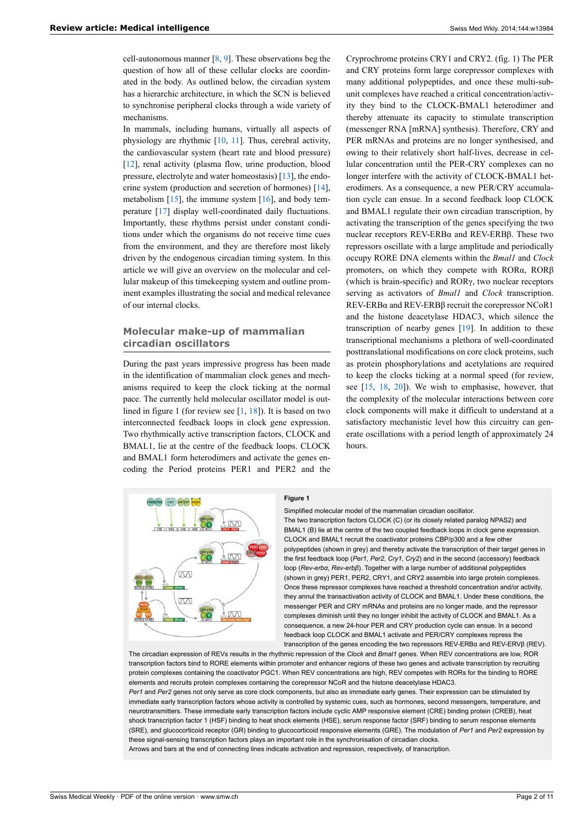cell-autonomous manner [\[8,](#page-6-7) [9\]](#page-6-8). These observations beg the question of how all of these cellular clocks are coordinated in the body. As outlined below, the circadian system has a hierarchic architecture, in which the SCN is believed to synchronise peripheral clocks through a wide variety of mechanisms.

In mammals, including humans, virtually all aspects of physiology are rhythmic [\[10](#page-6-9), [11](#page-6-10)]. Thus, cerebral activity, the cardiovascular system (heart rate and blood pressure) [\[12](#page-6-11)], renal activity (plasma flow, urine production, blood pressure, electrolyte and water homeostasis) [[13\]](#page-6-12), the endocrine system (production and secretion of hormones) [\[14](#page-6-13)], metabolism  $[15]$  $[15]$ , the immune system  $[16]$  $[16]$ , and body temperature [\[17](#page-6-16)] display well-coordinated daily fluctuations. Importantly, these rhythms persist under constant conditions under which the organisms do not receive time cues from the environment, and they are therefore most likely driven by the endogenous circadian timing system. In this article we will give an overview on the molecular and cellular makeup of this timekeeping system and outline prominent examples illustrating the social and medical relevance of our internal clocks.

## **Molecular make-up of mammalian circadian oscillators**

During the past years impressive progress has been made in the identification of mammalian clock genes and mechanisms required to keep the clock ticking at the normal pace. The currently held molecular oscillator model is outlined in figure 1 (for review see [[1](#page-6-0), [18\]](#page-6-17)). It is based on two interconnected feedback loops in clock gene expression. Two rhythmically active transcription factors, CLOCK and BMAL1, lie at the centre of the feedback loops. CLOCK and BMAL1 form heterodimers and activate the genes encoding the Period proteins PER1 and PER2 and the

Cryprochrome proteins CRY1 and CRY2. (fig. 1) The PER and CRY proteins form large corepressor complexes with many additional polypeptides, and once these multi-subunit complexes have reached a critical concentration/activity they bind to the CLOCK-BMAL1 heterodimer and thereby attenuate its capacity to stimulate transcription (messenger RNA [mRNA] synthesis). Therefore, CRY and PER mRNAs and proteins are no longer synthesised, and owing to their relatively short half-lives, decrease in cellular concentration until the PER-CRY complexes can no longer interfere with the activity of CLOCK-BMAL1 heterodimers. As a consequence, a new PER/CRY accumulation cycle can ensue. In a second feedback loop CLOCK and BMAL1 regulate their own circadian transcription, by activating the transcription of the genes specifying the two nuclear receptors  $REV-ERBα$  and  $REV-ERBβ$ . These two repressors oscillate with a large amplitude and periodically occupy RORE DNA elements within the *Bmal1* and *Clock* promoters, on which they compete with RORα, RORβ (which is brain-specific) and RORγ, two nuclear receptors serving as activators of *Bmal1* and *Clock* transcription. REV-ERBα and REV-ERBβ recruit the corepressor NCoR1 and the histone deacetylase HDAC3, which silence the transcription of nearby genes [[19\]](#page-6-18). In addition to these transcriptional mechanisms a plethora of well-coordinated posttranslational modifications on core clock proteins, such as protein phosphorylations and acetylations are required to keep the clocks ticking at a normal speed (for review, see [\[15](#page-6-14), [18](#page-6-17), [20\]](#page-6-19)). We wish to emphasise, however, that the complexity of the molecular interactions between core clock components will make it difficult to understand at a satisfactory mechanistic level how this circuitry can generate oscillations with a period length of approximately 24 hours.



#### **Figure 1**

Simplified molecular model of the mammalian circadian oscillator.

The two transcription factors CLOCK (C) (or its closely related paralog NPAS2) and BMAL1 (B) lie at the centre of the two coupled feedback loops in clock gene expression. CLOCK and BMAL1 recruit the coactivator proteins CBP/p300 and a few other polypeptides (shown in grey) and thereby activate the transcription of their target genes in the first feedback loop (*Per1*, *Per2*, *Cry1*, *Cry2*) and in the second (accessory) feedback loop (*Rev-erbα*, *Rev-erbβ*). Together with a large number of additional polypeptides (shown in grey) PER1, PER2, CRY1, and CRY2 assemble into large protein complexes. Once these repressor complexes have reached a threshold concentration and/or activity, they annul the transactivation activity of CLOCK and BMAL1. Under these conditions, the messenger PER and CRY mRNAs and proteins are no longer made, and the repressor complexes diminish until they no longer inhibit the activity of CLOCK and BMAL1. As a consequence, a new 24-hour PER and CRY production cycle can ensue. In a second feedback loop CLOCK and BMAL1 activate and PER/CRY complexes repress the transcription of the genes encoding the two repressors REV-ERBα and REV-ERVβ (REV).

The circadian expression of REVs results in the rhythmic repression of the *Clock* and *Bmal1* genes. When REV concentrations are low, ROR transcription factors bind to RORE elements within promoter and enhancer regions of these two genes and activate transcription by recruiting protein complexes containing the coactivator PGC1. When REV concentrations are high, REV competes with RORs for the binding to RORE elements and recruits protein complexes containing the corepressor NCoR and the histone deacetylase HDAC3. *Per1* and *Per2* genes not only serve as core clock components, but also as immediate early genes. Their expression can be stimulated by immediate early transcription factors whose activity is controlled by systemic cues, such as hormones, second messengers, temperature, and neurotransmitters. These immediate early transcription factors include cyclic AMP responsive element (CRE) binding protein (CREB), heat shock transcription factor 1 (HSF) binding to heat shock elements (HSE), serum response factor (SRF) binding to serum response elements (SRE), and glucocorticoid receptor (GR) binding to glucocorticoid responsive elements (GRE). The modulation of *Per1* and *Per2* expression by these signal-sensing transcription factors plays an important role in the synchronisation of circadian clocks. Arrows and bars at the end of connecting lines indicate activation and repression, respectively, of transcription.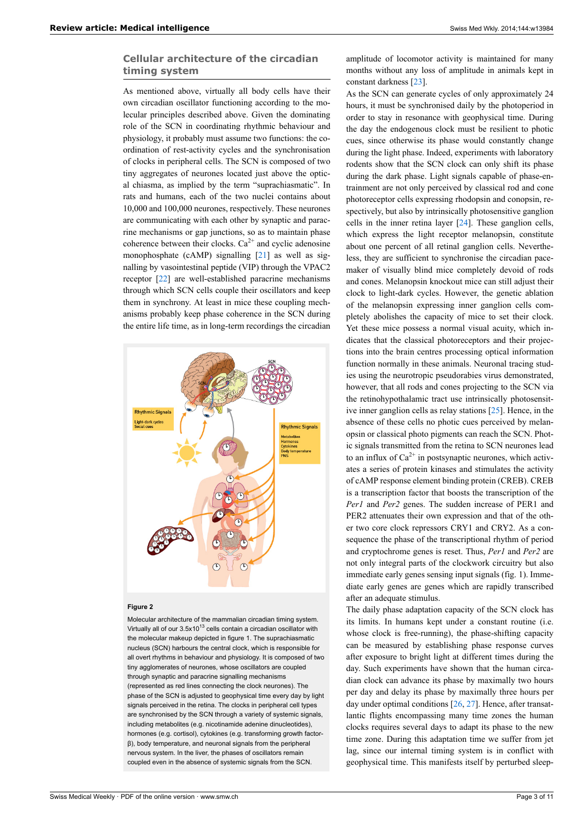# **Cellular architecture of the circadian timing system**

As mentioned above, virtually all body cells have their own circadian oscillator functioning according to the molecular principles described above. Given the dominating role of the SCN in coordinating rhythmic behaviour and physiology, it probably must assume two functions: the coordination of rest-activity cycles and the synchronisation of clocks in peripheral cells. The SCN is composed of two tiny aggregates of neurones located just above the optical chiasma, as implied by the term "suprachiasmatic". In rats and humans, each of the two nuclei contains about 10,000 and 100,000 neurones, respectively. These neurones are communicating with each other by synaptic and paracrine mechanisms or gap junctions, so as to maintain phase coherence between their clocks.  $Ca^{2+}$  and cyclic adenosine monophosphate (cAMP) signalling [\[21](#page-6-20)] as well as signalling by vasointestinal peptide (VIP) through the VPAC2 receptor [[22\]](#page-6-21) are well-established paracrine mechanisms through which SCN cells couple their oscillators and keep them in synchrony. At least in mice these coupling mechanisms probably keep phase coherence in the SCN during the entire life time, as in long-term recordings the circadian



## **Figure 2**

Molecular architecture of the mammalian circadian timing system. Virtually all of our  $3.5x10^{13}$  cells contain a circadian oscillator with the molecular makeup depicted in figure 1. The suprachiasmatic nucleus (SCN) harbours the central clock, which is responsible for all overt rhythms in behaviour and physiology. It is composed of two tiny agglomerates of neurones, whose oscillators are coupled through synaptic and paracrine signalling mechanisms (represented as red lines connecting the clock neurones). The phase of the SCN is adjusted to geophysical time every day by light signals perceived in the retina. The clocks in peripheral cell types are synchronised by the SCN through a variety of systemic signals, including metabolites (e.g. nicotinamide adenine dinucleotides), hormones (e.g. cortisol), cytokines (e.g. transforming growth factorβ), body temperature, and neuronal signals from the peripheral nervous system. In the liver, the phases of oscillators remain coupled even in the absence of systemic signals from the SCN.

amplitude of locomotor activity is maintained for many months without any loss of amplitude in animals kept in constant darkness [[23\]](#page-6-22).

As the SCN can generate cycles of only approximately 24 hours, it must be synchronised daily by the photoperiod in order to stay in resonance with geophysical time. During the day the endogenous clock must be resilient to photic cues, since otherwise its phase would constantly change during the light phase. Indeed, experiments with laboratory rodents show that the SCN clock can only shift its phase during the dark phase. Light signals capable of phase-entrainment are not only perceived by classical rod and cone photoreceptor cells expressing rhodopsin and conopsin, respectively, but also by intrinsically photosensitive ganglion cells in the inner retina layer [\[24](#page-6-23)]. These ganglion cells, which express the light receptor melanopsin, constitute about one percent of all retinal ganglion cells. Nevertheless, they are sufficient to synchronise the circadian pacemaker of visually blind mice completely devoid of rods and cones. Melanopsin knockout mice can still adjust their clock to light-dark cycles. However, the genetic ablation of the melanopsin expressing inner ganglion cells completely abolishes the capacity of mice to set their clock. Yet these mice possess a normal visual acuity, which indicates that the classical photoreceptors and their projections into the brain centres processing optical information function normally in these animals. Neuronal tracing studies using the neurotropic pseudorabies virus demonstrated, however, that all rods and cones projecting to the SCN via the retinohypothalamic tract use intrinsically photosensitive inner ganglion cells as relay stations [\[25](#page-6-24)]. Hence, in the absence of these cells no photic cues perceived by melanopsin or classical photo pigments can reach the SCN. Photic signals transmitted from the retina to SCN neurones lead to an influx of  $Ca^{2+}$  in postsynaptic neurones, which activates a series of protein kinases and stimulates the activity of cAMP response element binding protein (CREB). CREB is a transcription factor that boosts the transcription of the *Per1* and *Per2* genes. The sudden increase of PER1 and PER2 attenuates their own expression and that of the other two core clock repressors CRY1 and CRY2. As a consequence the phase of the transcriptional rhythm of period and cryptochrome genes is reset. Thus, *Per1* and *Per2* are not only integral parts of the clockwork circuitry but also immediate early genes sensing input signals (fig. 1). Immediate early genes are genes which are rapidly transcribed after an adequate stimulus.

The daily phase adaptation capacity of the SCN clock has its limits. In humans kept under a constant routine (i.e. whose clock is free-running), the phase-shifting capacity can be measured by establishing phase response curves after exposure to bright light at different times during the day. Such experiments have shown that the human circadian clock can advance its phase by maximally two hours per day and delay its phase by maximally three hours per day under optimal conditions [\[26](#page-6-25), [27\]](#page-6-26). Hence, after transatlantic flights encompassing many time zones the human clocks requires several days to adapt its phase to the new time zone. During this adaptation time we suffer from jet lag, since our internal timing system is in conflict with geophysical time. This manifests itself by perturbed sleep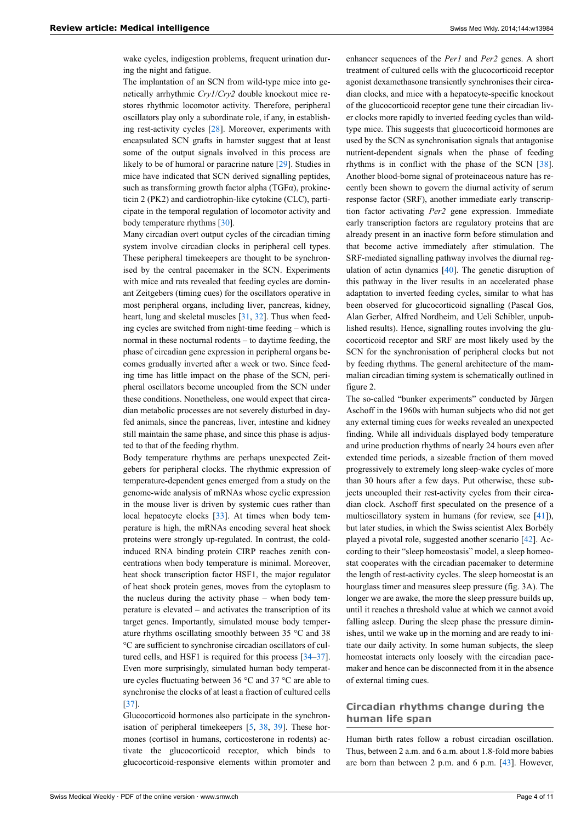wake cycles, indigestion problems, frequent urination during the night and fatigue.

The implantation of an SCN from wild-type mice into genetically arrhythmic *Cry1*/*Cry2* double knockout mice restores rhythmic locomotor activity. Therefore, peripheral oscillators play only a subordinate role, if any, in establishing rest-activity cycles [\[28](#page-7-0)]. Moreover, experiments with encapsulated SCN grafts in hamster suggest that at least some of the output signals involved in this process are likely to be of humoral or paracrine nature [[29\]](#page-7-1). Studies in mice have indicated that SCN derived signalling peptides, such as transforming growth factor alpha (TGFα), prokineticin 2 (PK2) and cardiotrophin-like cytokine (CLC), participate in the temporal regulation of locomotor activity and body temperature rhythms [\[30](#page-7-2)].

Many circadian overt output cycles of the circadian timing system involve circadian clocks in peripheral cell types. These peripheral timekeepers are thought to be synchronised by the central pacemaker in the SCN. Experiments with mice and rats revealed that feeding cycles are dominant Zeitgebers (timing cues) for the oscillators operative in most peripheral organs, including liver, pancreas, kidney, heart, lung and skeletal muscles [\[31](#page-7-3), [32\]](#page-7-4). Thus when feeding cycles are switched from night-time feeding – which is normal in these nocturnal rodents – to daytime feeding, the phase of circadian gene expression in peripheral organs becomes gradually inverted after a week or two. Since feeding time has little impact on the phase of the SCN, peripheral oscillators become uncoupled from the SCN under these conditions. Nonetheless, one would expect that circadian metabolic processes are not severely disturbed in dayfed animals, since the pancreas, liver, intestine and kidney still maintain the same phase, and since this phase is adjusted to that of the feeding rhythm.

Body temperature rhythms are perhaps unexpected Zeitgebers for peripheral clocks. The rhythmic expression of temperature-dependent genes emerged from a study on the genome-wide analysis of mRNAs whose cyclic expression in the mouse liver is driven by systemic cues rather than local hepatocyte clocks [[33\]](#page-7-5). At times when body temperature is high, the mRNAs encoding several heat shock proteins were strongly up-regulated. In contrast, the coldinduced RNA binding protein CIRP reaches zenith concentrations when body temperature is minimal. Moreover, heat shock transcription factor HSF1, the major regulator of heat shock protein genes, moves from the cytoplasm to the nucleus during the activity phase – when body temperature is elevated – and activates the transcription of its target genes. Importantly, simulated mouse body temperature rhythms oscillating smoothly between 35 °C and 38 °C are sufficient to synchronise circadian oscillators of cultured cells, and HSF1 is required for this process [[34–](#page-7-6)[37](#page-7-7)]. Even more surprisingly, simulated human body temperature cycles fluctuating between 36 °C and 37 °C are able to synchronise the clocks of at least a fraction of cultured cells [\[37](#page-7-7)].

Glucocorticoid hormones also participate in the synchronisation of peripheral timekeepers [\[5,](#page-6-4) [38](#page-7-8), [39](#page-7-9)]. These hormones (cortisol in humans, corticosterone in rodents) activate the glucocorticoid receptor, which binds to glucocorticoid-responsive elements within promoter and

enhancer sequences of the *Per1* and *Per2* genes. A short treatment of cultured cells with the glucocorticoid receptor agonist dexamethasone transiently synchronises their circadian clocks, and mice with a hepatocyte-specific knockout of the glucocorticoid receptor gene tune their circadian liver clocks more rapidly to inverted feeding cycles than wildtype mice. This suggests that glucocorticoid hormones are used by the SCN as synchronisation signals that antagonise nutrient-dependent signals when the phase of feeding rhythms is in conflict with the phase of the SCN [[38\]](#page-7-8). Another blood-borne signal of proteinaceous nature has recently been shown to govern the diurnal activity of serum response factor (SRF), another immediate early transcription factor activating *Per2* gene expression. Immediate early transcription factors are regulatory proteins that are already present in an inactive form before stimulation and that become active immediately after stimulation. The SRF-mediated signalling pathway involves the diurnal regulation of actin dynamics [\[40](#page-7-10)]. The genetic disruption of this pathway in the liver results in an accelerated phase adaptation to inverted feeding cycles, similar to what has been observed for glucocorticoid signalling (Pascal Gos, Alan Gerber, Alfred Nordheim, and Ueli Schibler, unpublished results). Hence, signalling routes involving the glucocorticoid receptor and SRF are most likely used by the SCN for the synchronisation of peripheral clocks but not by feeding rhythms. The general architecture of the mammalian circadian timing system is schematically outlined in figure 2.

The so-called "bunker experiments" conducted by Jürgen Aschoff in the 1960s with human subjects who did not get any external timing cues for weeks revealed an unexpected finding. While all individuals displayed body temperature and urine production rhythms of nearly 24 hours even after extended time periods, a sizeable fraction of them moved progressively to extremely long sleep-wake cycles of more than 30 hours after a few days. Put otherwise, these subjects uncoupled their rest-activity cycles from their circadian clock. Aschoff first speculated on the presence of a multioscillatory system in humans (for review, see [[41\]](#page-7-11)), but later studies, in which the Swiss scientist Alex Borbély played a pivotal role, suggested another scenario [[42\]](#page-7-12). According to their "sleep homeostasis" model, a sleep homeostat cooperates with the circadian pacemaker to determine the length of rest-activity cycles. The sleep homeostat is an hourglass timer and measures sleep pressure (fig. 3A). The longer we are awake, the more the sleep pressure builds up, until it reaches a threshold value at which we cannot avoid falling asleep. During the sleep phase the pressure diminishes, until we wake up in the morning and are ready to initiate our daily activity. In some human subjects, the sleep homeostat interacts only loosely with the circadian pacemaker and hence can be disconnected from it in the absence of external timing cues.

## **Circadian rhythms change during the human life span**

Human birth rates follow a robust circadian oscillation. Thus, between 2 a.m. and 6 a.m. about 1.8-fold more babies are born than between 2 p.m. and 6 p.m. [\[43](#page-7-13)]. However,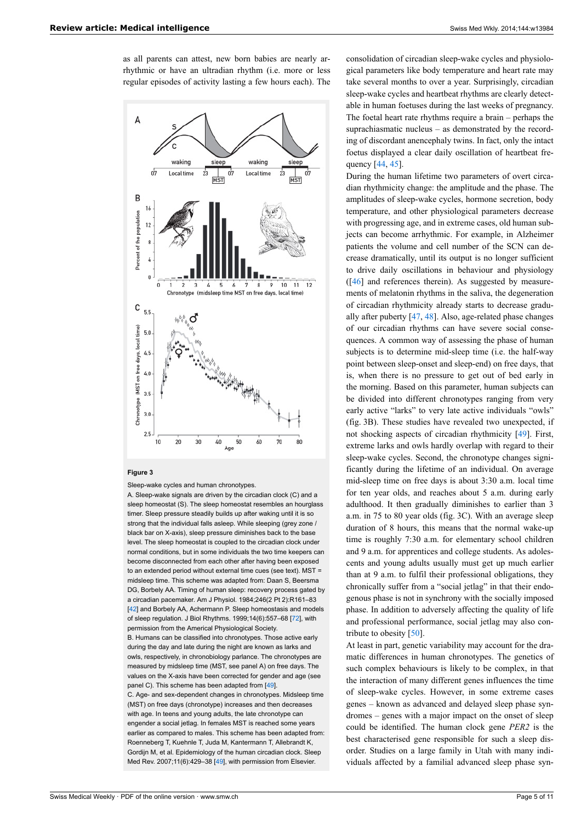

as all parents can attest, new born babies are nearly arrhythmic or have an ultradian rhythm (i.e. more or less regular episodes of activity lasting a few hours each). The

### **Figure 3**

Sleep-wake cycles and human chronotypes.

A. Sleep-wake signals are driven by the circadian clock (C) and a sleep homeostat (S). The sleep homeostat resembles an hourglass timer. Sleep pressure steadily builds up after waking until it is so strong that the individual falls asleep. While sleeping (grey zone / black bar on X-axis), sleep pressure diminishes back to the base level. The sleep homeostat is coupled to the circadian clock under normal conditions, but in some individuals the two time keepers can become disconnected from each other after having been exposed to an extended period without external time cues (see text). MST = midsleep time. This scheme was adapted from: Daan S, Beersma DG, Borbely AA. Timing of human sleep: recovery process gated by a circadian pacemaker. Am J Physiol. 1984;246(2 Pt 2):R161–83 [\[42\]](#page-7-12) and Borbely AA, Achermann P. Sleep homeostasis and models of sleep regulation. J Biol Rhythms. 1999;14(6):557–68 [[72\]](#page-7-14), with permission from the Americal Physiological Society. B. Humans can be classified into chronotypes. Those active early during the day and late during the night are known as larks and owls, respectively, in chronobiology parlance. The chronotypes are measured by midsleep time (MST, see panel A) on free days. The values on the X-axis have been corrected for gender and age (see panel C). This scheme has been adapted from [\[49\]](#page-7-15). C. Age- and sex-dependent changes in chronotypes. Midsleep time (MST) on free days (chronotype) increases and then decreases with age. In teens and young adults, the late chronotype can engender a social jetlag. In females MST is reached some years earlier as compared to males. This scheme has been adapted from: Roenneberg T, Kuehnle T, Juda M, Kantermann T, Allebrandt K, Gordijn M, et al. Epidemiology of the human circadian clock. Sleep Med Rev. 2007;11(6):429–38 [\[49\]](#page-7-15), with permission from Elsevier.

consolidation of circadian sleep-wake cycles and physiological parameters like body temperature and heart rate may take several months to over a year. Surprisingly, circadian sleep-wake cycles and heartbeat rhythms are clearly detectable in human foetuses during the last weeks of pregnancy. The foetal heart rate rhythms require a brain – perhaps the suprachiasmatic nucleus – as demonstrated by the recording of discordant anencephaly twins. In fact, only the intact foetus displayed a clear daily oscillation of heartbeat frequency [[44,](#page-7-16) [45](#page-7-17)].

During the human lifetime two parameters of overt circadian rhythmicity change: the amplitude and the phase. The amplitudes of sleep-wake cycles, hormone secretion, body temperature, and other physiological parameters decrease with progressing age, and in extreme cases, old human subjects can become arrhythmic. For example, in Alzheimer patients the volume and cell number of the SCN can decrease dramatically, until its output is no longer sufficient to drive daily oscillations in behaviour and physiology  $([46]$  $([46]$  and references therein). As suggested by measurements of melatonin rhythms in the saliva, the degeneration of circadian rhythmicity already starts to decrease gradually after puberty [[47,](#page-7-19) [48](#page-7-20)]. Also, age-related phase changes of our circadian rhythms can have severe social consequences. A common way of assessing the phase of human subjects is to determine mid-sleep time (i.e. the half-way point between sleep-onset and sleep-end) on free days, that is, when there is no pressure to get out of bed early in the morning. Based on this parameter, human subjects can be divided into different chronotypes ranging from very early active "larks" to very late active individuals "owls" (fig. 3B). These studies have revealed two unexpected, if not shocking aspects of circadian rhythmicity [[49\]](#page-7-15). First, extreme larks and owls hardly overlap with regard to their sleep-wake cycles. Second, the chronotype changes significantly during the lifetime of an individual. On average mid-sleep time on free days is about 3:30 a.m. local time for ten year olds, and reaches about 5 a.m. during early adulthood. It then gradually diminishes to earlier than 3 a.m. in 75 to 80 year olds (fig. 3C). With an average sleep duration of 8 hours, this means that the normal wake-up time is roughly 7:30 a.m. for elementary school children and 9 a.m. for apprentices and college students. As adolescents and young adults usually must get up much earlier than at 9 a.m. to fulfil their professional obligations, they chronically suffer from a "social jetlag" in that their endogenous phase is not in synchrony with the socially imposed phase. In addition to adversely affecting the quality of life and professional performance, social jetlag may also contribute to obesity [[50\]](#page-7-21).

At least in part, genetic variability may account for the dramatic differences in human chronotypes. The genetics of such complex behaviours is likely to be complex, in that the interaction of many different genes influences the time of sleep-wake cycles. However, in some extreme cases genes – known as advanced and delayed sleep phase syndromes – genes with a major impact on the onset of sleep could be identified. The human clock gene *PER2* is the best characterised gene responsible for such a sleep disorder. Studies on a large family in Utah with many individuals affected by a familial advanced sleep phase syn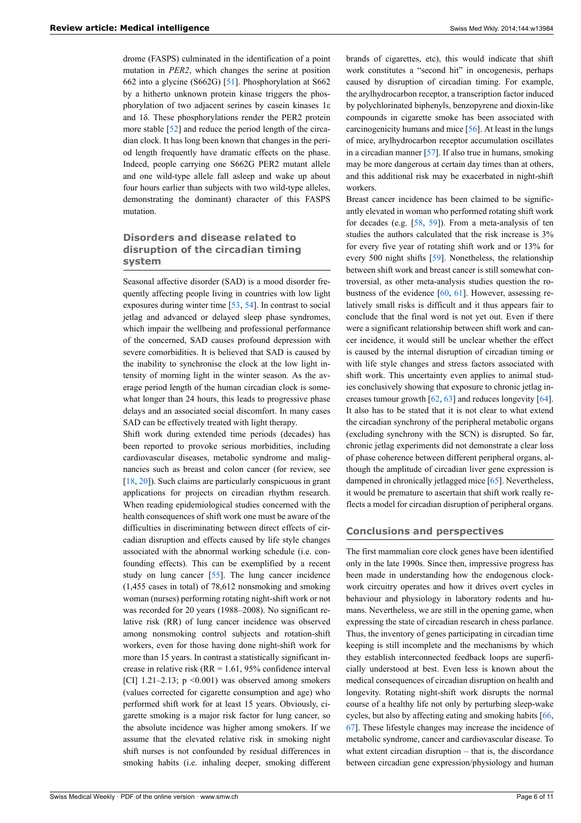drome (FASPS) culminated in the identification of a point mutation in *PER2*, which changes the serine at position 662 into a glycine (S662G) [[51\]](#page-7-0). Phosphorylation at S662 by a hitherto unknown protein kinase triggers the phosphorylation of two adjacent serines by casein kinases 1ε and 1δ. These phosphorylations render the PER2 protein more stable [[52\]](#page-7-22) and reduce the period length of the circadian clock. It has long been known that changes in the period length frequently have dramatic effects on the phase. Indeed, people carrying one S662G PER2 mutant allele and one wild-type allele fall asleep and wake up about four hours earlier than subjects with two wild-type alleles, demonstrating the dominant) character of this FASPS mutation.

# **Disorders and disease related to disruption of the circadian timing system**

Seasonal affective disorder (SAD) is a mood disorder frequently affecting people living in countries with low light exposures during winter time [\[53](#page-7-2), [54\]](#page-7-3). In contrast to social jetlag and advanced or delayed sleep phase syndromes, which impair the wellbeing and professional performance of the concerned, SAD causes profound depression with severe comorbidities. It is believed that SAD is caused by the inability to synchronise the clock at the low light intensity of morning light in the winter season. As the average period length of the human circadian clock is somewhat longer than 24 hours, this leads to progressive phase delays and an associated social discomfort. In many cases SAD can be effectively treated with light therapy.

Shift work during extended time periods (decades) has been reported to provoke serious morbidities, including cardiovascular diseases, metabolic syndrome and malignancies such as breast and colon cancer (for review, see [\[18](#page-6-17), [20](#page-6-19)]). Such claims are particularly conspicuous in grant applications for projects on circadian rhythm research. When reading epidemiological studies concerned with the health consequences of shift work one must be aware of the difficulties in discriminating between direct effects of circadian disruption and effects caused by life style changes associated with the abnormal working schedule (i.e. confounding effects). This can be exemplified by a recent study on lung cancer [[55\]](#page-7-23). The lung cancer incidence (1,455 cases in total) of 78,612 nonsmoking and smoking woman (nurses) performing rotating night-shift work or not was recorded for 20 years (1988–2008). No significant relative risk (RR) of lung cancer incidence was observed among nonsmoking control subjects and rotation-shift workers, even for those having done night-shift work for more than 15 years. In contrast a statistically significant increase in relative risk (RR = 1.61, 95% confidence interval [CI]  $1.21-2.13$ ; p <0.001) was observed among smokers (values corrected for cigarette consumption and age) who performed shift work for at least 15 years. Obviously, cigarette smoking is a major risk factor for lung cancer, so the absolute incidence was higher among smokers. If we assume that the elevated relative risk in smoking night shift nurses is not confounded by residual differences in smoking habits (i.e. inhaling deeper, smoking different brands of cigarettes, etc), this would indicate that shift work constitutes a "second hit" in oncogenesis, perhaps caused by disruption of circadian timing. For example, the arylhydrocarbon receptor, a transcription factor induced by polychlorinated biphenyls, benzopyrene and dioxin-like compounds in cigarette smoke has been associated with carcinogenicity humans and mice [[56\]](#page-7-24). At least in the lungs of mice, arylhydrocarbon receptor accumulation oscillates in a circadian manner [\[57](#page-7-25)]. If also true in humans, smoking may be more dangerous at certain day times than at others, and this additional risk may be exacerbated in night-shift workers.

Breast cancer incidence has been claimed to be significantly elevated in woman who performed rotating shift work for decades (e.g. [\[58](#page-7-26), [59](#page-7-27)]). From a meta-analysis of ten studies the authors calculated that the risk increase is 3% for every five year of rotating shift work and or 13% for every 500 night shifts [[59\]](#page-7-27). Nonetheless, the relationship between shift work and breast cancer is still somewhat controversial, as other meta-analysis studies question the robustness of the evidence [[60,](#page-7-7) [61](#page-7-8)]. However, assessing relatively small risks is difficult and it thus appears fair to conclude that the final word is not yet out. Even if there were a significant relationship between shift work and cancer incidence, it would still be unclear whether the effect is caused by the internal disruption of circadian timing or with life style changes and stress factors associated with shift work. This uncertainty even applies to animal studies conclusively showing that exposure to chronic jetlag increases tumour growth [\[62](#page-7-9), [63\]](#page-7-28) and reduces longevity [[64\]](#page-7-29). It also has to be stated that it is not clear to what extend the circadian synchrony of the peripheral metabolic organs (excluding synchrony with the SCN) is disrupted. So far, chronic jetlag experiments did not demonstrate a clear loss of phase coherence between different peripheral organs, although the amplitude of circadian liver gene expression is dampened in chronically jetlagged mice [\[65](#page-7-12)]. Nevertheless, it would be premature to ascertain that shift work really reflects a model for circadian disruption of peripheral organs.

## **Conclusions and perspectives**

The first mammalian core clock genes have been identified only in the late 1990s. Since then, impressive progress has been made in understanding how the endogenous clockwork circuitry operates and how it drives overt cycles in behaviour and physiology in laboratory rodents and humans. Nevertheless, we are still in the opening game, when expressing the state of circadian research in chess parlance. Thus, the inventory of genes participating in circadian time keeping is still incomplete and the mechanisms by which they establish interconnected feedback loops are superficially understood at best. Even less is known about the medical consequences of circadian disruption on health and longevity. Rotating night-shift work disrupts the normal course of a healthy life not only by perturbing sleep-wake cycles, but also by affecting eating and smoking habits [[66,](#page-7-13) [67\]](#page-7-30). These lifestyle changes may increase the incidence of metabolic syndrome, cancer and cardiovascular disease. To what extent circadian disruption – that is, the discordance between circadian gene expression/physiology and human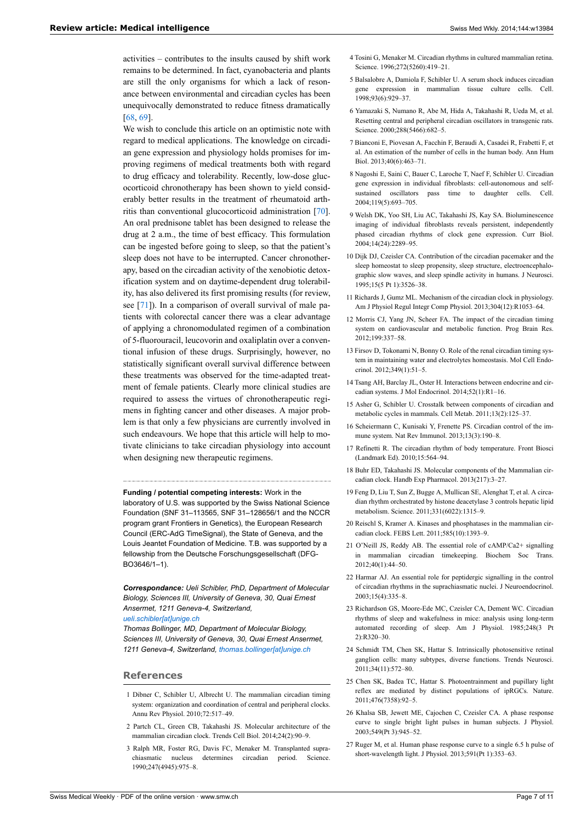<span id="page-6-4"></span><span id="page-6-3"></span>activities ‒ contributes to the insults caused by shift work remains to be determined. In fact, cyanobacteria and plants are still the only organisms for which a lack of resonance between environmental and circadian cycles has been unequivocally demonstrated to reduce fitness dramatically [\[68](#page-7-17), [69\]](#page-7-31).

<span id="page-6-10"></span><span id="page-6-9"></span><span id="page-6-8"></span><span id="page-6-7"></span><span id="page-6-6"></span><span id="page-6-5"></span>We wish to conclude this article on an optimistic note with regard to medical applications. The knowledge on circadian gene expression and physiology holds promises for improving regimens of medical treatments both with regard to drug efficacy and tolerability. Recently, low-dose glucocorticoid chronotherapy has been shown to yield considerably better results in the treatment of rheumatoid arthritis than conventional glucocorticoid administration [\[70](#page-7-32)]. An oral prednisone tablet has been designed to release the drug at 2 a.m., the time of best efficacy. This formulation can be ingested before going to sleep, so that the patient's sleep does not have to be interrupted. Cancer chronotherapy, based on the circadian activity of the xenobiotic detoxification system and on daytime-dependent drug tolerability, has also delivered its first promising results (for review, see [\[71](#page-7-33)]). In a comparison of overall survival of male patients with colorectal cancer there was a clear advantage of applying a chronomodulated regimen of a combination of 5-fluorouracil, leucovorin and oxaliplatin over a conventional infusion of these drugs. Surprisingly, however, no statistically significant overall survival difference between these treatments was observed for the time-adapted treatment of female patients. Clearly more clinical studies are required to assess the virtues of chronotherapeutic regimens in fighting cancer and other diseases. A major problem is that only a few physicians are currently involved in such endeavours. We hope that this article will help to motivate clinicians to take circadian physiology into account when designing new therapeutic regimens.

#### <span id="page-6-18"></span><span id="page-6-17"></span><span id="page-6-16"></span><span id="page-6-15"></span><span id="page-6-14"></span><span id="page-6-13"></span><span id="page-6-12"></span><span id="page-6-11"></span>**Funding / potential competing interests:** Work in the

<span id="page-6-20"></span><span id="page-6-19"></span>laboratory of U.S. was supported by the Swiss National Science Foundation (SNF 31–113565, SNF 31–128656/1 and the NCCR program grant Frontiers in Genetics), the European Research Council (ERC-AdG TimeSignal), the State of Geneva, and the Louis Jeantet Foundation of Medicine. T.B. was supported by a fellowship from the Deutsche Forschungsgesellschaft (DFG-BO3646/1–1).

<span id="page-6-22"></span><span id="page-6-21"></span>*Correspondance: Ueli Schibler, PhD, Department of Molecular Biology, Sciences III, University of Geneva, 30, Quai Ernest Ansermet, 1211 Geneva-4, Switzerland, [ueli.schibler\[at\]unige.ch](mailto:ueli.schibler@unige.ch)*

<span id="page-6-23"></span>*Thomas Bollinger, MD, Department of Molecular Biology, Sciences III, University of Geneva, 30, Quai Ernest Ansermet, 1211 Geneva-4, Switzerland, [thomas.bollinger\[at\]unige.ch](mailto:thomas.bollinger@unige.ch)*

## <span id="page-6-24"></span><span id="page-6-0"></span>**References**

- 1 Dibner C, Schibler U, Albrecht U. The mammalian circadian timing system: organization and coordination of central and peripheral clocks. Annu Rev Physiol. 2010;72:517–49.
- <span id="page-6-25"></span><span id="page-6-1"></span>2 Partch CL, Green CB, Takahashi JS. Molecular architecture of the mammalian circadian clock. Trends Cell Biol. 2014;24(2):90–9.
- <span id="page-6-26"></span><span id="page-6-2"></span>3 Ralph MR, Foster RG, Davis FC, Menaker M. Transplanted suprachiasmatic nucleus determines circadian period. Science. 1990;247(4945):975–8.
- 4 Tosini G, Menaker M. Circadian rhythms in cultured mammalian retina. Science. 1996;272(5260):419–21.
- 5 Balsalobre A, Damiola F, Schibler U. A serum shock induces circadian gene expression in mammalian tissue culture cells. Cell. 1998;93(6):929–37.
- 6 Yamazaki S, Numano R, Abe M, Hida A, Takahashi R, Ueda M, et al. Resetting central and peripheral circadian oscillators in transgenic rats. Science. 2000;288(5466):682-5.
- 7 Bianconi E, Piovesan A, Facchin F, Beraudi A, Casadei R, Frabetti F, et al. An estimation of the number of cells in the human body. Ann Hum Biol. 2013;40(6):463–71.
- 8 Nagoshi E, Saini C, Bauer C, Laroche T, Naef F, Schibler U. Circadian gene expression in individual fibroblasts: cell-autonomous and selfsustained oscillators pass time to daughter cells. Cell. 2004;119(5):693–705.
- 9 Welsh DK, Yoo SH, Liu AC, Takahashi JS, Kay SA. Bioluminescence imaging of individual fibroblasts reveals persistent, independently phased circadian rhythms of clock gene expression. Curr Biol. 2004;14(24):2289–95.
- 10 Dijk DJ, Czeisler CA. Contribution of the circadian pacemaker and the sleep homeostat to sleep propensity, sleep structure, electroencephalographic slow waves, and sleep spindle activity in humans. J Neurosci. 1995;15(5 Pt 1):3526–38.
- 11 Richards J, Gumz ML. Mechanism of the circadian clock in physiology. Am J Physiol Regul Integr Comp Physiol. 2013;304(12):R1053–64.
- 12 Morris CJ, Yang JN, Scheer FA. The impact of the circadian timing system on cardiovascular and metabolic function. Prog Brain Res. 2012;199:337–58.
- 13 Firsov D, Tokonami N, Bonny O. Role of the renal circadian timing system in maintaining water and electrolytes homeostasis. Mol Cell Endocrinol. 2012;349(1):51–5.
- 14 Tsang AH, Barclay JL, Oster H. Interactions between endocrine and circadian systems. J Mol Endocrinol. 2014;52(1):R1–16.
- 15 Asher G, Schibler U. Crosstalk between components of circadian and metabolic cycles in mammals. Cell Metab. 2011;13(2):125–37.
- 16 Scheiermann C, Kunisaki Y, Frenette PS. Circadian control of the immune system. Nat Rev Immunol. 2013;13(3):190–8.
- 17 Refinetti R. The circadian rhythm of body temperature. Front Biosci (Landmark Ed). 2010;15:564–94.
- 18 Buhr ED, Takahashi JS. Molecular components of the Mammalian circadian clock. Handb Exp Pharmacol. 2013(217):3–27.
- 19 Feng D, Liu T, Sun Z, Bugge A, Mullican SE, Alenghat T, et al. A circadian rhythm orchestrated by histone deacetylase 3 controls hepatic lipid metabolism. Science. 2011;331(6022):1315–9.
- 20 Reischl S, Kramer A. Kinases and phosphatases in the mammalian circadian clock. FEBS Lett. 2011;585(10):1393–9.
- 21 O'Neill JS, Reddy AB. The essential role of cAMP/Ca2+ signalling in mammalian circadian timekeeping. Biochem Soc Trans. 2012;40(1):44–50.
- 22 Harmar AJ. An essential role for peptidergic signalling in the control of circadian rhythms in the suprachiasmatic nuclei. J Neuroendocrinol.  $2003:15(4):335-8$
- 23 Richardson GS, Moore-Ede MC, Czeisler CA, Dement WC. Circadian rhythms of sleep and wakefulness in mice: analysis using long-term automated recording of sleep. Am J Physiol. 1985;248(3 Pt 2):R320–30.
- 24 Schmidt TM, Chen SK, Hattar S. Intrinsically photosensitive retinal ganglion cells: many subtypes, diverse functions. Trends Neurosci. 2011;34(11):572–80.
- 25 Chen SK, Badea TC, Hattar S. Photoentrainment and pupillary light reflex are mediated by distinct populations of ipRGCs. Nature. 2011;476(7358):92–5.
- 26 Khalsa SB, Jewett ME, Cajochen C, Czeisler CA. A phase response curve to single bright light pulses in human subjects. J Physiol. 2003;549(Pt 3):945–52.
- 27 Ruger M, et al. Human phase response curve to a single 6.5 h pulse of short-wavelength light. J Physiol. 2013;591(Pt 1):353–63.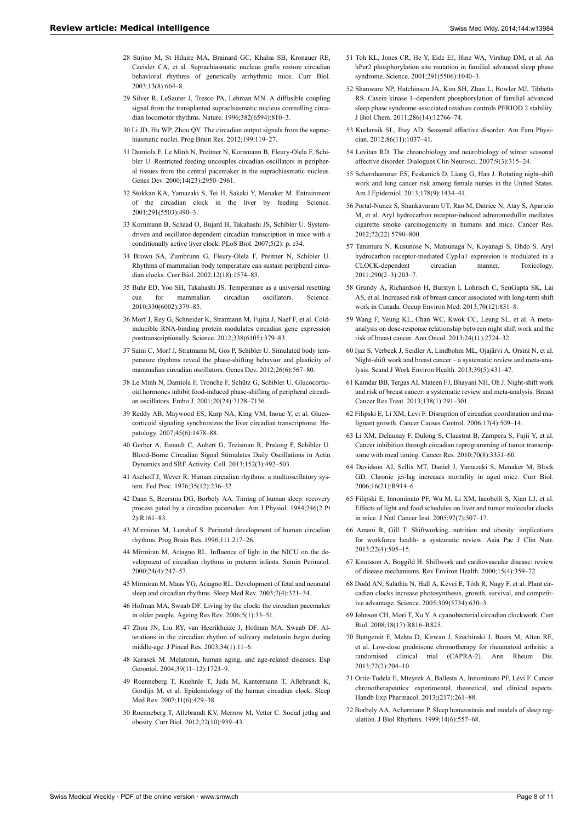- <span id="page-7-0"></span>28 Sujino M, St Hilaire MA, Brainard GC, Khalsa SB, Kronauer RE, Czeisler CA, et al. Suprachiasmatic nucleus grafts restore circadian behavioral rhythms of genetically arrhythmic mice. Curr Biol. 2003;13(8):664–8.
- <span id="page-7-22"></span><span id="page-7-1"></span>29 Silver R, LeSauter J, Tresco PA, Lehman MN. A diffusible coupling signal from the transplanted suprachiasmatic nucleus controlling circadian locomotor rhythms. Nature. 1996;382(6594):810–3.
- <span id="page-7-2"></span>30 Li JD, Hu WP, Zhou QY. The circadian output signals from the suprachiasmatic nuclei. Prog Brain Res. 2012;199:119–27.
- <span id="page-7-23"></span><span id="page-7-3"></span>31 Damiola F, Le Minh N, Preitner N, Kornmann B, Fleury-Olela F, Schibler U. Restricted feeding uncouples circadian oscillators in peripheral tissues from the central pacemaker in the suprachiasmatic nucleus. Genes Dev. 2000;14(23):2950–2961.
- <span id="page-7-24"></span><span id="page-7-4"></span>32 Stokkan KA, Yamazaki S, Tei H, Sakaki Y, Menaker M. Entrainment of the circadian clock in the liver by feeding. Science. 2001;291(5503):490–3.
- <span id="page-7-5"></span>33 Kornmann B, Schaad O, Bujard H, Takahashi JS, Schibler U. Systemdriven and oscillator-dependent circadian transcription in mice with a conditionally active liver clock. PLoS Biol. 2007;5(2): p. e34.
- <span id="page-7-25"></span><span id="page-7-6"></span>34 Brown SA, Zumbrunn G, Fleury-Olela F, Preitner N, Schibler U. Rhythms of mammalian body temperature can sustain peripheral circadian clocks. Curr Biol. 2002;12(18):1574–83.
- <span id="page-7-26"></span>35 Buhr ED, Yoo SH, Takahashi JS. Temperature as a universal resetting cue for mammalian circadian oscillators. Science. 2010;330(6002):379–85.
- <span id="page-7-27"></span>36 Morf J, Rey G, Schneider K, Stratmann M, Fujita J, Naef F, et al. Coldinducible RNA-binding protein modulates circadian gene expression posttranscriptionally. Science. 2012;338(6105):379–83.
- <span id="page-7-7"></span>37 Saini C, Morf J, Stratmann M, Gos P, Schibler U. Simulated body temperature rhythms reveal the phase-shifting behavior and plasticity of mammalian circadian oscillators. Genes Dev. 2012;26(6):567–80.
- <span id="page-7-8"></span>38 Le Minh N, Damiola F, Tronche F, Schütz G, Schibler U. Glucocorticoid hormones inhibit food-induced phase-shifting of peripheral circadian oscillators. Embo J. 2001;20(24):7128–7136.
- <span id="page-7-9"></span>39 Reddy AB, Maywood ES, Karp NA, King VM, Inoue Y, et al. Glucocorticoid signaling synchronizes the liver circadian transcriptome. Hepatology. 2007;45(6):1478–88.
- <span id="page-7-28"></span><span id="page-7-10"></span>40 Gerber A, Esnault C, Aubert G, Treisman R, Pralong F, Schibler U. Blood-Borne Circadian Signal Stimulates Daily Oscillations in Actin Dynamics and SRF Activity. Cell. 2013;152(3):492–503.
- <span id="page-7-29"></span><span id="page-7-11"></span>41 Aschoff J, Wever R. Human circadian rhythms: a multioscillatory system. Fed Proc. 1976;35(12):236–32.
- <span id="page-7-12"></span>42 Daan S, Beersma DG, Borbely AA. Timing of human sleep: recovery process gated by a circadian pacemaker. Am J Physiol. 1984;246(2 Pt 2):R161–83.
- <span id="page-7-13"></span>43 Mirmiran M, Lunshof S. Perinatal development of human circadian rhythms. Prog Brain Res. 1996;111:217–26.
- <span id="page-7-30"></span><span id="page-7-16"></span>44 Mirmiran M, Ariagno RL. Influence of light in the NICU on the development of circadian rhythms in preterm infants. Semin Perinatol. 2000;24(4):247–57.
- <span id="page-7-17"></span>45 Mirmiran M, Maas YG, Ariagno RL. Development of fetal and neonatal sleep and circadian rhythms. Sleep Med Rev. 2003;7(4):321–34.
- <span id="page-7-31"></span><span id="page-7-18"></span>46 Hofman MA, Swaab DF. Living by the clock: the circadian pacemaker in older people. Ageing Res Rev. 2006;5(1):33–51.
- <span id="page-7-32"></span><span id="page-7-19"></span>47 Zhou JN, Liu RY, van Heerikhuize J, Hofman MA, Swaab DF. Alterations in the circadian rhythm of salivary melatonin begin during middle-age. J Pineal Res. 2003;34(1):11–6.
- <span id="page-7-20"></span>48 Karasek M. Melatonin, human aging, and age-related diseases. Exp Gerontol. 2004;39(11–12):1723–9.
- <span id="page-7-33"></span><span id="page-7-15"></span>49 Roenneberg T, Kuehnle T, Juda M, Kantermann T, Allebrandt K, Gordijn M, et al. Epidemiology of the human circadian clock. Sleep Med Rev. 2007;11(6):429–38.
- <span id="page-7-21"></span><span id="page-7-14"></span>50 Roenneberg T, Allebrandt KV, Merrow M, Vetter C. Social jetlag and obesity. Curr Biol. 2012;22(10):939–43.
- 51 Toh KL, Jones CR, He Y, Eide EJ, Hinz WA, Virshup DM, et al. An hPer2 phosphorylation site mutation in familial advanced sleep phase syndrome. Science. 2001;291(5506):1040–3.
- 52 Shanware NP, Hutchinson JA, Kim SH, Zhan L, Bowler MJ, Tibbetts RS. Casein kinase 1–dependent phosphorylation of familial advanced sleep phase syndrome-associated residues controls PERIOD 2 stability. J Biol Chem. 2011;286(14):12766–74.
- 53 Kurlansik SL, Ibay AD. Seasonal affective disorder. Am Fam Physician. 2012;86(11):1037–41.
- 54 Levitan RD. The chronobiology and neurobiology of winter seasonal affective disorder. Dialogues Clin Neurosci. 2007;9(3):315–24.
- 55 Schernhammer ES, Feskanich D, Liang G, Han J. Rotating night-shift work and lung cancer risk among female nurses in the United States. Am J Epidemiol. 2013;178(9):1434–41.
- 56 Portal-Nunez S, Shankavaram UT, Rao M, Datrice N, Atay S, Aparicio M, et al. Aryl hydrocarbon receptor-induced adrenomedullin mediates cigarette smoke carcinogenicity in humans and mice. Cancer Res. 2012;72(22) 5790–800.
- 57 Tanimura N, Kusunose N, Matsunaga N, Koyanagi S, Ohdo S. Aryl hydrocarbon receptor-mediated Cyp1a1 expression is modulated in a CLOCK-dependent circadian manner. Toxicology. 2011;290(2–3):203–7.
- 58 Grundy A, Richardson H, Burstyn I, Lohrisch C, SenGupta SK, Lai AS, et al. Increased risk of breast cancer associated with long-term shift work in Canada. Occup Environ Med. 2013;70(12):831–8.
- 59 Wang F, Yeung KL, Chan WC, Kwok CC, Leung SL, et al. A metaanalysis on dose-response relationship between night shift work and the risk of breast cancer. Ann Oncol. 2013;24(11):2724–32.
- 60 Ijaz S, Verbeek J, Seidler A, Lindbohm ML, Ojajärvi A, Orsini N, et al. Night-shift work and breast cancer – a systematic review and meta-analysis. Scand J Work Environ Health. 2013;39(5):431–47.
- 61 Kamdar BB, Tergas AI, Mateen FJ, Bhayani NH, Oh J. Night-shift work and risk of breast cancer: a systematic review and meta-analysis. Breast Cancer Res Treat. 2013;138(1):291–301.
- 62 Filipski E, Li XM, Levi F. Disruption of circadian coordination and malignant growth. Cancer Causes Control. 2006;17(4):509–14.
- 63 Li XM, Delaunay F, Dulong S, Claustrat B, Zampera S, Fujii Y, et al. Cancer inhibition through circadian reprogramming of tumor transcriptome with meal timing. Cancer Res. 2010;70(8):3351–60.
- 64 Davidson AJ, Sellix MT, Daniel J, Yamazaki S, Menaker M, Block GD. Chronic jet-lag increases mortality in aged mice. Curr Biol. 2006;16(21):R914–6.
- 65 Filipski E, Innominato PF, Wu M, Li XM, Iacobelli S, Xian LJ, et al. Effects of light and food schedules on liver and tumor molecular clocks in mice. J Natl Cancer Inst. 2005;97(7):507–17.
- 66 Amani R, Gill T. Shiftworking, nutrition and obesity: implications for workforce health- a systematic review. Asia Pac J Clin Nutr. 2013;22(4):505–15.
- 67 Knutsson A, Boggild H. Shiftwork and cardiovascular disease: review of disease mechanisms. Rev Environ Health. 2000;15(4):359–72.
- 68 Dodd AN, Salathia N, Hall A, Kévei E, Tóth R, Nagy F, et al. Plant circadian clocks increase photosynthesis, growth, survival, and competitive advantage. Science. 2005;309(5734):630–3.
- 69 Johnson CH, Mori T, Xu Y. A cyanobacterial circadian clockwork. Curr Biol. 2008;18(17):R816–R825.
- 70 Buttgereit F, Mehta D, Kirwan J, Szechinski J, Boers M, Alten RE, et al. Low-dose prednisone chronotherapy for rheumatoid arthritis: a randomised clinical trial (CAPRA-2). Ann Rheum Dis. 2013;72(2):204–10.
- 71 Ortiz-Tudela E, Mteyrek A, Ballesta A, Innominato PF, Lévi F. Cancer chronotherapeutics: experimental, theoretical, and clinical aspects. Handb Exp Pharmacol. 2013;(217):261–88.
- 72 Borbely AA, Achermann P. Sleep homeostasis and models of sleep regulation. J Biol Rhythms. 1999;14(6):557–68.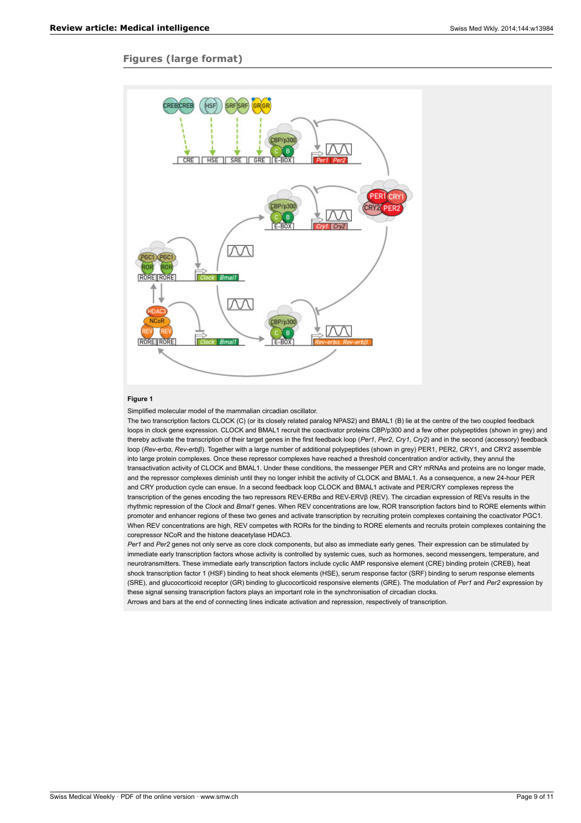**Figures (large format)**



#### **Figure 1**

Simplified molecular model of the mammalian circadian oscillator.

The two transcription factors CLOCK (C) (or its closely related paralog NPAS2) and BMAL1 (B) lie at the centre of the two coupled feedback loops in clock gene expression. CLOCK and BMAL1 recruit the coactivator proteins CBP/p300 and a few other polypeptides (shown in grey) and thereby activate the transcription of their target genes in the first feedback loop (*Per1*, *Per2*, *Cry1*, *Cry2*) and in the second (accessory) feedback loop (*Rev-erbα*, *Rev-erbβ*). Together with a large number of additional polypeptides (shown in grey) PER1, PER2, CRY1, and CRY2 assemble into large protein complexes. Once these repressor complexes have reached a threshold concentration and/or activity, they annul the transactivation activity of CLOCK and BMAL1. Under these conditions, the messenger PER and CRY mRNAs and proteins are no longer made, and the repressor complexes diminish until they no longer inhibit the activity of CLOCK and BMAL1. As a consequence, a new 24-hour PER and CRY production cycle can ensue. In a second feedback loop CLOCK and BMAL1 activate and PER/CRY complexes repress the transcription of the genes encoding the two repressors REV-ERBα and REV-ERVβ (REV). The circadian expression of REVs results in the rhythmic repression of the *Clock* and *Bmal1* genes. When REV concentrations are low, ROR transcription factors bind to RORE elements within promoter and enhancer regions of these two genes and activate transcription by recruiting protein complexes containing the coactivator PGC1. When REV concentrations are high, REV competes with RORs for the binding to RORE elements and recruits protein complexes containing the corepressor NCoR and the histone deacetylase HDAC3.

*Per1* and *Per2* genes not only serve as core clock components, but also as immediate early genes. Their expression can be stimulated by immediate early transcription factors whose activity is controlled by systemic cues, such as hormones, second messengers, temperature, and neurotransmitters. These immediate early transcription factors include cyclic AMP responsive element (CRE) binding protein (CREB), heat shock transcription factor 1 (HSF) binding to heat shock elements (HSE), serum response factor (SRF) binding to serum response elements (SRE), and glucocorticoid receptor (GR) binding to glucocorticoid responsive elements (GRE). The modulation of *Per1* and *Per2* expression by these signal sensing transcription factors plays an important role in the synchronisation of circadian clocks.

Arrows and bars at the end of connecting lines indicate activation and repression, respectively of transcription.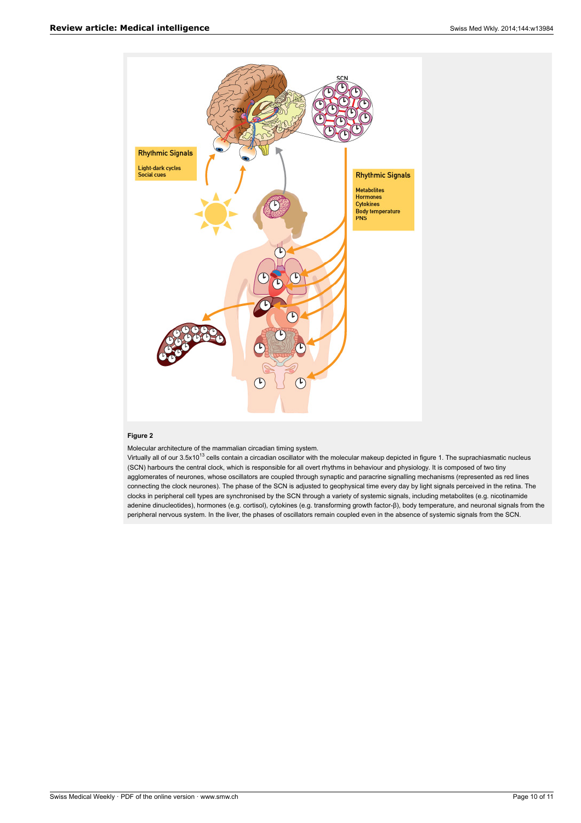

#### **Figure 2**

Molecular architecture of the mammalian circadian timing system.

Virtually all of our 3.5x10<sup>13</sup> cells contain a circadian oscillator with the molecular makeup depicted in figure 1. The suprachiasmatic nucleus (SCN) harbours the central clock, which is responsible for all overt rhythms in behaviour and physiology. It is composed of two tiny agglomerates of neurones, whose oscillators are coupled through synaptic and paracrine signalling mechanisms (represented as red lines connecting the clock neurones). The phase of the SCN is adjusted to geophysical time every day by light signals perceived in the retina. The clocks in peripheral cell types are synchronised by the SCN through a variety of systemic signals, including metabolites (e.g. nicotinamide adenine dinucleotides), hormones (e.g. cortisol), cytokines (e.g. transforming growth factor-β), body temperature, and neuronal signals from the peripheral nervous system. In the liver, the phases of oscillators remain coupled even in the absence of systemic signals from the SCN.